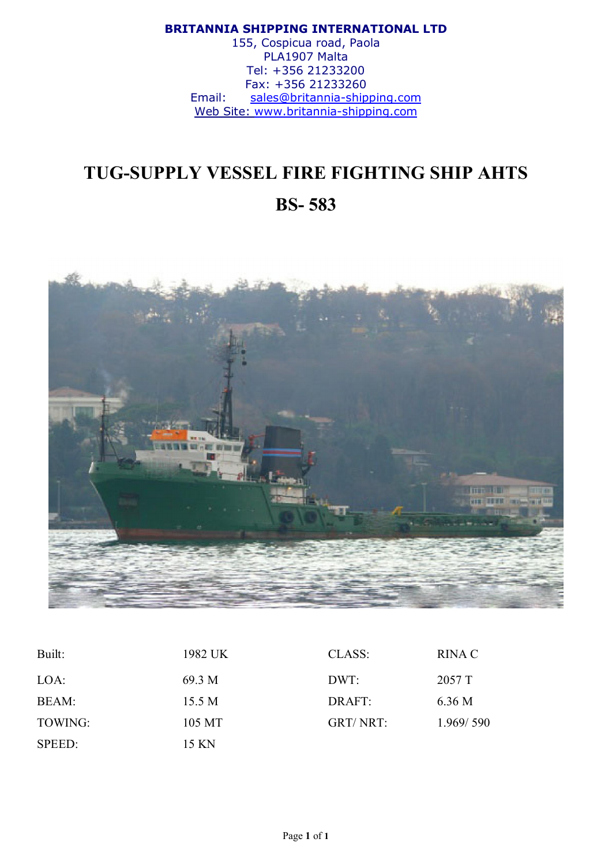#### BRITANNIA SHIPPING INTERNATIONAL LTD

155, Cospicua road, Paola PLA1907 Malta Tel: +356 21233200 Fax: +356 21233260 Email: sales@britannia-shipping.com Web Site: www.britannia-shipping.com

# TUG-SUPPLY VESSEL FIRE FIGHTING SHIP AHTS BS- 583



| Built:  | 1982 UK | CLASS:   | RINA C    |
|---------|---------|----------|-----------|
| LOA:    | 69.3 M  | DWT:     | 2057 T    |
| BEAM:   | 15.5 M  | DRAFT:   | 6.36 M    |
| TOWING: | 105 MT  | GRT/NRT: | 1.969/590 |
| SPEED:  | 15 KN   |          |           |